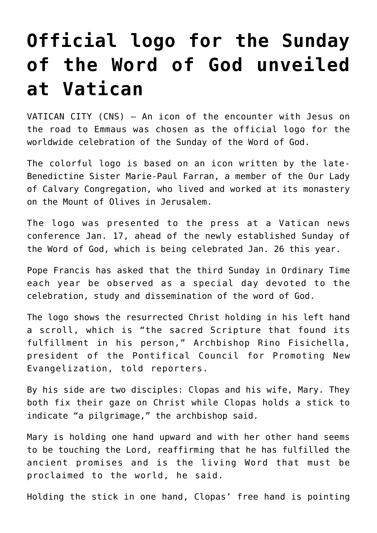## **[Official logo for the Sunday](https://www.osvnews.com/amp/2020/01/24/official-logo-for-the-sunday-of-the-word-of-god-unveiled-at-vatican/) [of the Word of God unveiled](https://www.osvnews.com/amp/2020/01/24/official-logo-for-the-sunday-of-the-word-of-god-unveiled-at-vatican/) [at Vatican](https://www.osvnews.com/amp/2020/01/24/official-logo-for-the-sunday-of-the-word-of-god-unveiled-at-vatican/)**

VATICAN CITY (CNS) — An icon of the encounter with Jesus on the road to Emmaus was chosen as the official logo for the worldwide celebration of the Sunday of the Word of God.

The colorful logo is based on an icon written by the late-Benedictine Sister Marie-Paul Farran, a member of the Our Lady of Calvary Congregation, who lived and worked at its monastery on the Mount of Olives in Jerusalem.

The logo was presented to the press at a Vatican news conference Jan. 17, ahead of the newly established Sunday of the Word of God, which is being celebrated Jan. 26 this year.

Pope Francis has asked that the third Sunday in Ordinary Time each year be observed as a special day devoted to the celebration, study and dissemination of the word of God.

The logo shows the resurrected Christ holding in his left hand a scroll, which is "the sacred Scripture that found its fulfillment in his person," Archbishop Rino Fisichella, president of the Pontifical Council for Promoting New Evangelization, told reporters.

By his side are two disciples: Clopas and his wife, Mary. They both fix their gaze on Christ while Clopas holds a stick to indicate "a pilgrimage," the archbishop said.

Mary is holding one hand upward and with her other hand seems to be touching the Lord, reaffirming that he has fulfilled the ancient promises and is the living Word that must be proclaimed to the world, he said.

Holding the stick in one hand, Clopas' free hand is pointing